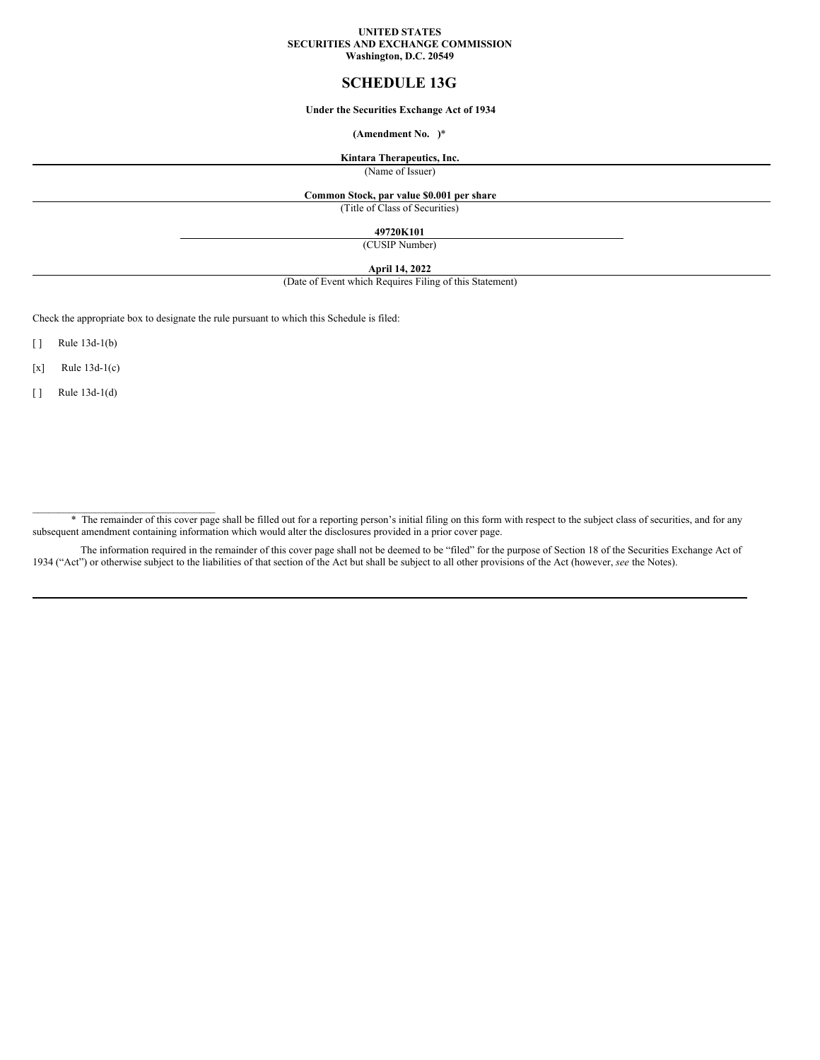#### **UNITED STATES SECURITIES AND EXCHANGE COMMISSION Washington, D.C. 20549**

## **SCHEDULE 13G**

### **Under the Securities Exchange Act of 1934**

#### **(Amendment No. )**\*

### **Kintara Therapeutics, Inc.**

(Name of Issuer)

### **Common Stock, par value \$0.001 per share**

(Title of Class of Securities)

### **49720K101**

(CUSIP Number)

### **April 14, 2022**

(Date of Event which Requires Filing of this Statement)

Check the appropriate box to designate the rule pursuant to which this Schedule is filed:

[ ] Rule 13d-1(b)

 $[x]$  Rule 13d-1(c)

[ ] Rule 13d-1(d)

\_\_\_\_\_\_\_\_\_\_\_\_\_\_\_\_\_\_\_\_\_\_\_\_\_\_\_\_\_\_\_\_\_\_\_

\* The remainder of this cover page shall be filled out for a reporting person's initial filing on this form with respect to the subject class of securities, and for any subsequent amendment containing information which would alter the disclosures provided in a prior cover page.

The information required in the remainder of this cover page shall not be deemed to be "filed" for the purpose of Section 18 of the Securities Exchange Act of 1934 ("Act") or otherwise subject to the liabilities of that section of the Act but shall be subject to all other provisions of the Act (however, *see* the Notes).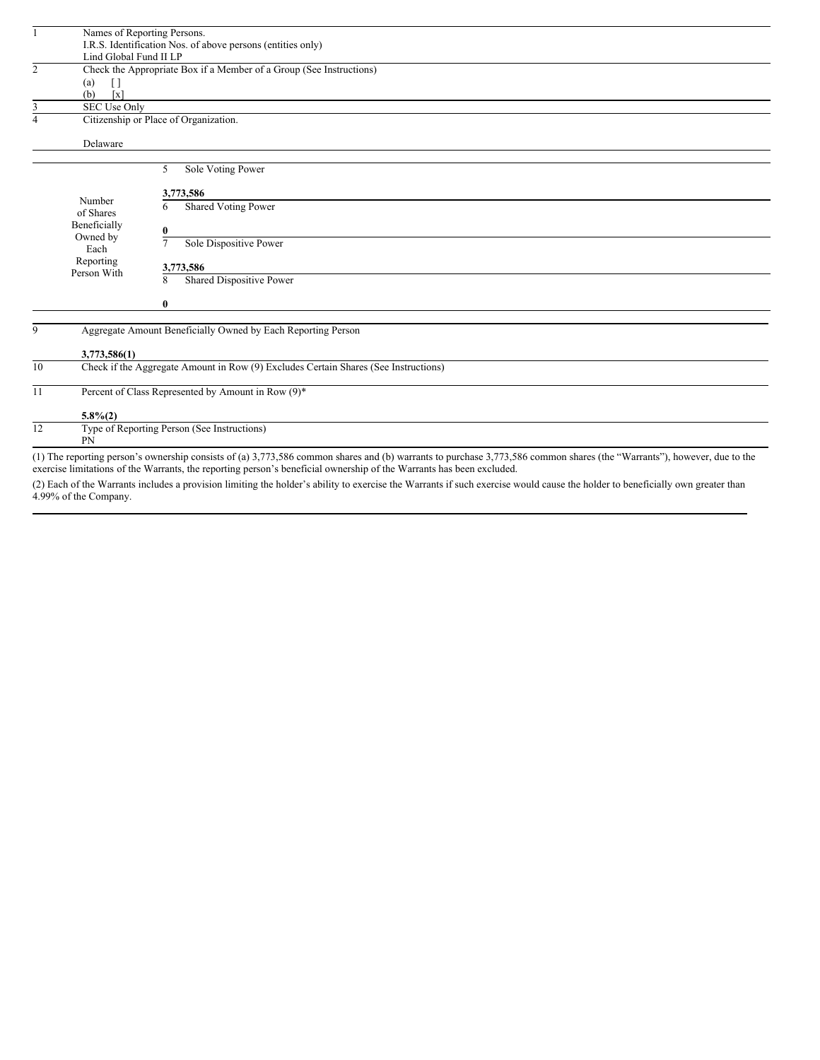| $\mathbf{1}$   |                                                             | Names of Reporting Persons.                                                                                                                                             |  |  |  |
|----------------|-------------------------------------------------------------|-------------------------------------------------------------------------------------------------------------------------------------------------------------------------|--|--|--|
|                | I.R.S. Identification Nos. of above persons (entities only) |                                                                                                                                                                         |  |  |  |
|                | Lind Global Fund II LP                                      |                                                                                                                                                                         |  |  |  |
| $\overline{2}$ |                                                             | Check the Appropriate Box if a Member of a Group (See Instructions)                                                                                                     |  |  |  |
|                | (a)<br>$\Box$                                               |                                                                                                                                                                         |  |  |  |
|                | (b)<br>$\lceil x \rceil$                                    |                                                                                                                                                                         |  |  |  |
| 3              | SEC Use Only                                                |                                                                                                                                                                         |  |  |  |
| $\overline{4}$ | Citizenship or Place of Organization.                       |                                                                                                                                                                         |  |  |  |
|                | Delaware                                                    |                                                                                                                                                                         |  |  |  |
|                |                                                             |                                                                                                                                                                         |  |  |  |
|                |                                                             | 5<br>Sole Voting Power                                                                                                                                                  |  |  |  |
|                |                                                             | 3,773,586                                                                                                                                                               |  |  |  |
|                | Number                                                      | Shared Voting Power<br>6                                                                                                                                                |  |  |  |
|                | of Shares                                                   |                                                                                                                                                                         |  |  |  |
|                | Beneficially                                                | $\bf{0}$                                                                                                                                                                |  |  |  |
|                | Owned by                                                    | $\overline{7}$<br>Sole Dispositive Power                                                                                                                                |  |  |  |
|                | Each                                                        |                                                                                                                                                                         |  |  |  |
|                | Reporting                                                   | 3,773,586                                                                                                                                                               |  |  |  |
|                | Person With                                                 | Shared Dispositive Power<br>8                                                                                                                                           |  |  |  |
|                |                                                             | $\bf{0}$                                                                                                                                                                |  |  |  |
| 9              |                                                             | Aggregate Amount Beneficially Owned by Each Reporting Person                                                                                                            |  |  |  |
|                |                                                             |                                                                                                                                                                         |  |  |  |
|                | 3,773,586(1)                                                |                                                                                                                                                                         |  |  |  |
| 10             |                                                             | Check if the Aggregate Amount in Row (9) Excludes Certain Shares (See Instructions)                                                                                     |  |  |  |
| 11             |                                                             | Percent of Class Represented by Amount in Row (9)*                                                                                                                      |  |  |  |
|                | $5.8\%(2)$                                                  |                                                                                                                                                                         |  |  |  |
| 12             | PN                                                          | Type of Reporting Person (See Instructions)                                                                                                                             |  |  |  |
|                |                                                             | (1) The reporting person's ownership consists of (a) 3,773,586 common shares and (b) warrants to purchase 3,773,586 common shares (the "Warrants"), however, due to the |  |  |  |
|                |                                                             |                                                                                                                                                                         |  |  |  |

exercise limitations of the Warrants, the reporting person's beneficial ownership of the Warrants has been excluded.

(2) Each of the Warrants includes a provision limiting the holder's ability to exercise the Warrants if such exercise would cause the holder to beneficially own greater than 4.99% of the Company.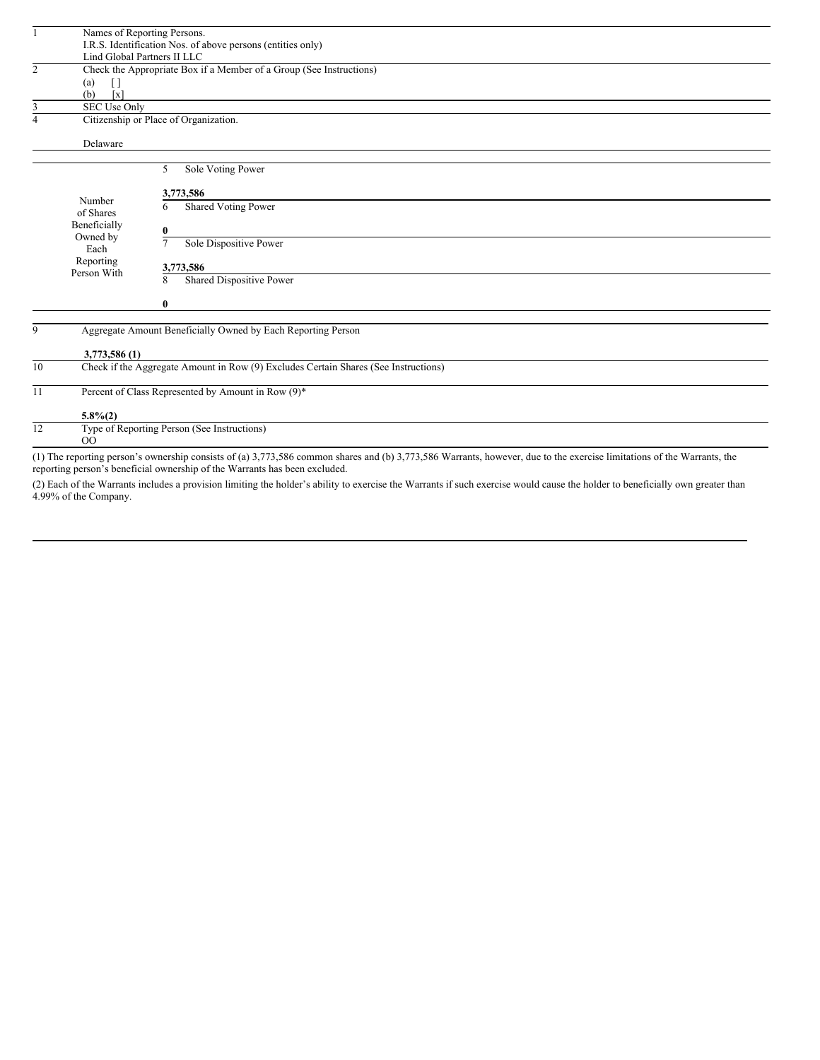| $\mathbf{1}$   |                                                             | Names of Reporting Persons.                                                                                                                                            |  |
|----------------|-------------------------------------------------------------|------------------------------------------------------------------------------------------------------------------------------------------------------------------------|--|
|                | I.R.S. Identification Nos. of above persons (entities only) |                                                                                                                                                                        |  |
|                |                                                             | Lind Global Partners II LLC                                                                                                                                            |  |
| $\overline{2}$ |                                                             | Check the Appropriate Box if a Member of a Group (See Instructions)                                                                                                    |  |
|                | (a)<br>$\Box$                                               |                                                                                                                                                                        |  |
|                | (b)<br>$\lceil x \rceil$                                    |                                                                                                                                                                        |  |
| 3              | SEC Use Only                                                |                                                                                                                                                                        |  |
| 4              | Citizenship or Place of Organization.                       |                                                                                                                                                                        |  |
|                | Delaware                                                    |                                                                                                                                                                        |  |
|                |                                                             |                                                                                                                                                                        |  |
|                |                                                             | 5<br>Sole Voting Power                                                                                                                                                 |  |
|                |                                                             | 3,773,586                                                                                                                                                              |  |
|                | Number                                                      | <b>Shared Voting Power</b><br>6                                                                                                                                        |  |
|                | of Shares                                                   |                                                                                                                                                                        |  |
|                | Beneficially                                                | $\bf{0}$                                                                                                                                                               |  |
|                | Owned by                                                    | Sole Dispositive Power<br>$\tau$                                                                                                                                       |  |
|                | Each                                                        |                                                                                                                                                                        |  |
|                | Reporting<br>Person With                                    | 3,773,586                                                                                                                                                              |  |
|                |                                                             | Shared Dispositive Power<br>8                                                                                                                                          |  |
|                |                                                             |                                                                                                                                                                        |  |
|                |                                                             | $\bf{0}$                                                                                                                                                               |  |
|                |                                                             |                                                                                                                                                                        |  |
| 9              |                                                             | Aggregate Amount Beneficially Owned by Each Reporting Person                                                                                                           |  |
|                |                                                             |                                                                                                                                                                        |  |
|                | 3,773,586 (1)                                               |                                                                                                                                                                        |  |
| 10             |                                                             | Check if the Aggregate Amount in Row (9) Excludes Certain Shares (See Instructions)                                                                                    |  |
| 11             |                                                             | Percent of Class Represented by Amount in Row (9)*                                                                                                                     |  |
|                | $5.8\%(2)$                                                  |                                                                                                                                                                        |  |
| 12             |                                                             | Type of Reporting Person (See Instructions)                                                                                                                            |  |
|                | O <sub>O</sub>                                              |                                                                                                                                                                        |  |
|                |                                                             | (1) The reporting person's ownership consists of (a) 3,773,586 common shares and (b) 3,773,586 Warrants, however, due to the exercise limitations of the Warrants, the |  |

reporting person's beneficial ownership of the Warrants has been excluded.

(2) Each of the Warrants includes a provision limiting the holder's ability to exercise the Warrants if such exercise would cause the holder to beneficially own greater than 4.99% of the Company.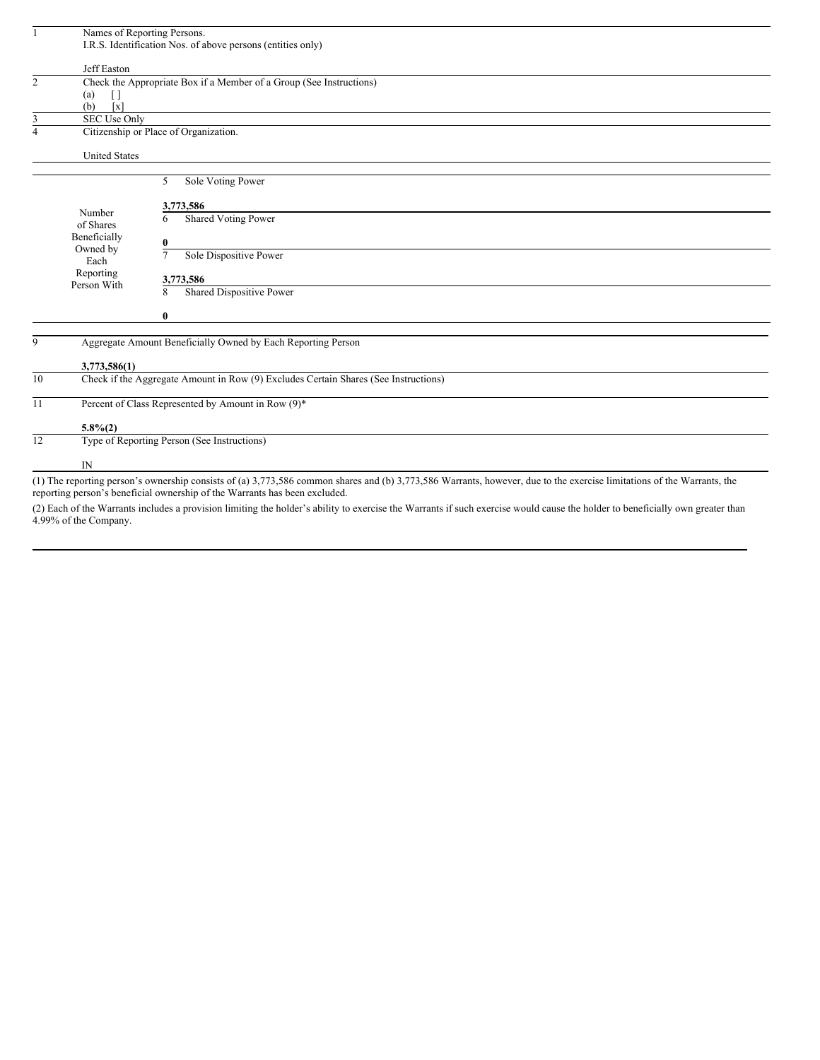|                | Names of Reporting Persons.      |                                                                                                                                                                        |
|----------------|----------------------------------|------------------------------------------------------------------------------------------------------------------------------------------------------------------------|
|                |                                  | I.R.S. Identification Nos. of above persons (entities only)                                                                                                            |
|                |                                  |                                                                                                                                                                        |
| $\overline{2}$ | Jeff Easton                      | Check the Appropriate Box if a Member of a Group (See Instructions)                                                                                                    |
|                | (a)<br>$\Box$                    |                                                                                                                                                                        |
|                | (b)<br>$\lceil x \rceil$         |                                                                                                                                                                        |
| 3              | SEC Use Only                     | <u> 1989 - Johann Stein, marwolaethau a bhann an t-Albann an t-Albann an t-Albann an t-Albann an t-Albann an t-Al</u>                                                  |
| $\overline{4}$ |                                  | Citizenship or Place of Organization.                                                                                                                                  |
|                | <b>United States</b>             |                                                                                                                                                                        |
|                |                                  | Sole Voting Power<br>5                                                                                                                                                 |
|                |                                  |                                                                                                                                                                        |
|                | Number                           | 3,773,586                                                                                                                                                              |
|                | of Shares                        | <b>Shared Voting Power</b><br>6                                                                                                                                        |
|                | Beneficially<br>Owned by<br>Each | 0                                                                                                                                                                      |
|                |                                  | Sole Dispositive Power<br>7                                                                                                                                            |
|                | Reporting                        |                                                                                                                                                                        |
|                | Person With                      | 3,773,586                                                                                                                                                              |
|                |                                  | Shared Dispositive Power<br>8                                                                                                                                          |
|                |                                  | $\bf{0}$                                                                                                                                                               |
| 9              |                                  | Aggregate Amount Beneficially Owned by Each Reporting Person                                                                                                           |
|                | 3,773,586(1)                     |                                                                                                                                                                        |
| 10             |                                  | Check if the Aggregate Amount in Row (9) Excludes Certain Shares (See Instructions)                                                                                    |
| 11             |                                  | Percent of Class Represented by Amount in Row (9)*                                                                                                                     |
|                | $5.8\%(2)$                       |                                                                                                                                                                        |
| 12             |                                  | Type of Reporting Person (See Instructions)                                                                                                                            |
|                | IN                               |                                                                                                                                                                        |
|                |                                  | (1) The reporting person's ownership consists of (a) 3,773,586 common shares and (b) 3,773,586 Warrants, however, due to the exercise limitations of the Warrants, the |

reporting person's beneficial ownership of the Warrants has been excluded.

(2) Each of the Warrants includes a provision limiting the holder's ability to exercise the Warrants if such exercise would cause the holder to beneficially own greater than 4.99% of the Company.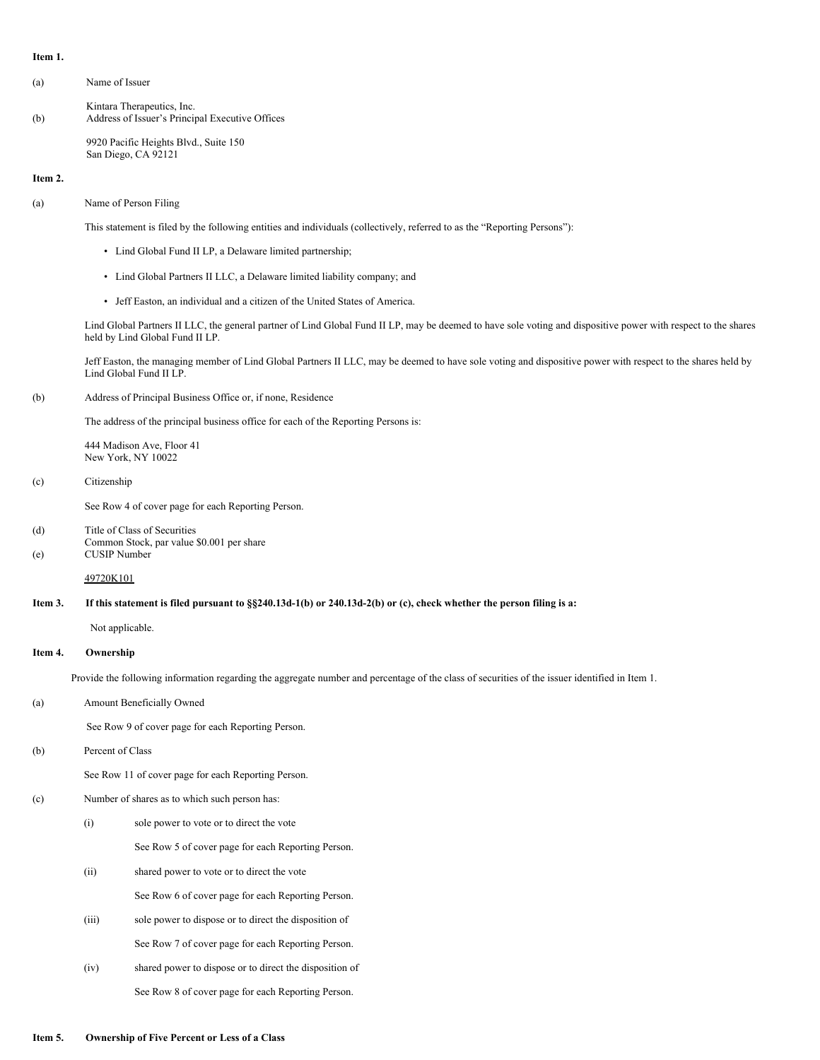#### **Item 1.**

- (a) Name of Issuer
- Kintara Therapeutics, Inc. (b) Address of Issuer's Principal Executive Offices

9920 Pacific Heights Blvd., Suite 150 San Diego, CA 92121

#### **Item 2.**

(a) Name of Person Filing

This statement is filed by the following entities and individuals (collectively, referred to as the "Reporting Persons"):

- Lind Global Fund II LP, a Delaware limited partnership;
- Lind Global Partners II LLC, a Delaware limited liability company; and
- Jeff Easton, an individual and a citizen of the United States of America.

Lind Global Partners II LLC, the general partner of Lind Global Fund II LP, may be deemed to have sole voting and dispositive power with respect to the shares held by Lind Global Fund II LP.

Jeff Easton, the managing member of Lind Global Partners II LLC, may be deemed to have sole voting and dispositive power with respect to the shares held by Lind Global Fund II LP.

(b) Address of Principal Business Office or, if none, Residence

The address of the principal business office for each of the Reporting Persons is:

444 Madison Ave, Floor 41 New York, NY 10022

(c) Citizenship

See Row 4 of cover page for each Reporting Person.

(d) Title of Class of Securities Common Stock, par value \$0.001 per share (e) CUSIP Number

49720K101

### Item 3. If this statement is filed pursuant to §§240.13d-1(b) or 240.13d-2(b) or (c), check whether the person filing is a:

Not applicable.

### **Item 4. Ownership**

Provide the following information regarding the aggregate number and percentage of the class of securities of the issuer identified in Item 1.

(a) Amount Beneficially Owned

See Row 9 of cover page for each Reporting Person.

(b) Percent of Class

See Row 11 of cover page for each Reporting Person.

#### (c) Number of shares as to which such person has:

(i) sole power to vote or to direct the vote

See Row 5 of cover page for each Reporting Person.

- (ii) shared power to vote or to direct the vote See Row 6 of cover page for each Reporting Person.
- (iii) sole power to dispose or to direct the disposition of See Row 7 of cover page for each Reporting Person.
- (iv) shared power to dispose or to direct the disposition of See Row 8 of cover page for each Reporting Person.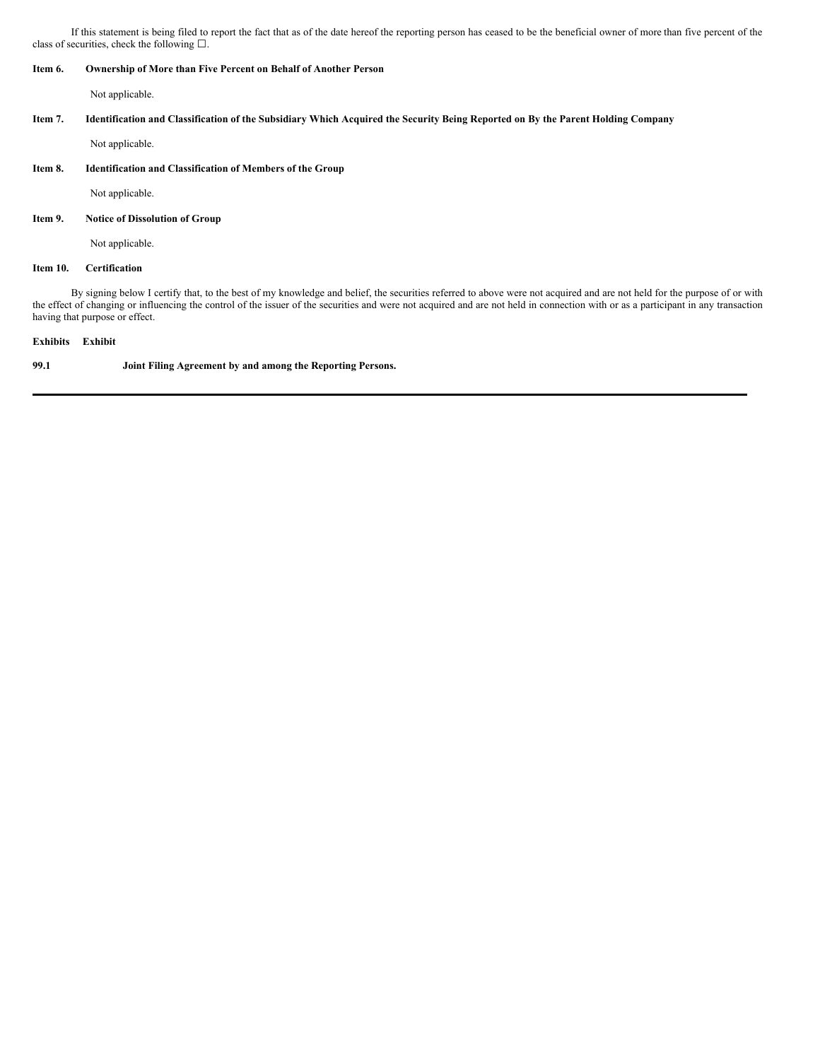If this statement is being filed to report the fact that as of the date hereof the reporting person has ceased to be the beneficial owner of more than five percent of the class of securities, check the following  $\square$ .

### **Item 6. Ownership of More than Five Percent on Behalf of Another Person**

Not applicable.

### Item 7. Identification and Classification of the Subsidiary Which Acquired the Security Being Reported on By the Parent Holding Company

Not applicable.

### **Item 8. Identification and Classification of Members of the Group**

Not applicable.

#### **Item 9. Notice of Dissolution of Group**

Not applicable.

#### **Item 10. Certification**

By signing below I certify that, to the best of my knowledge and belief, the securities referred to above were not acquired and are not held for the purpose of or with the effect of changing or influencing the control of the issuer of the securities and were not acquired and are not held in connection with or as a participant in any transaction having that purpose or effect.

#### **Exhibits Exhibit**

**99.1 Joint Filing Agreement by and among the Reporting Persons.**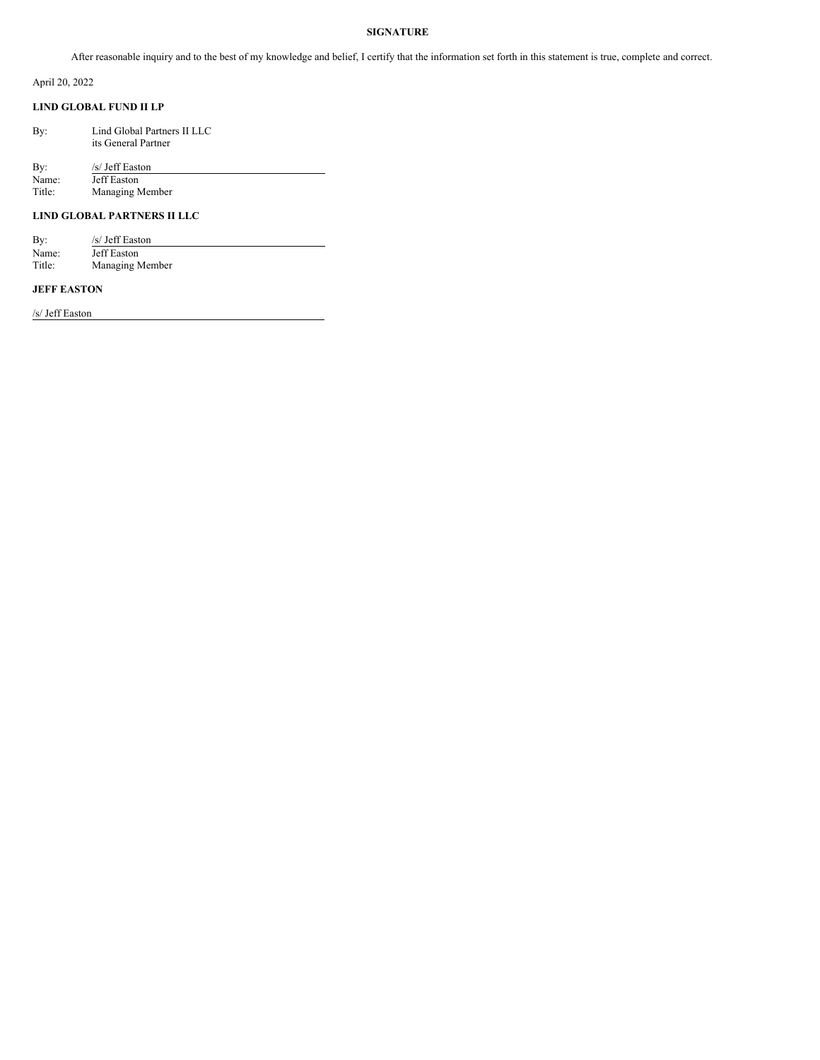# **SIGNATURE**

After reasonable inquiry and to the best of my knowledge and belief, I certify that the information set forth in this statement is true, complete and correct.

April 20, 2022

# **LIND GLOBAL FUND II LP**

| By: | Lind Global Partners II LLC |
|-----|-----------------------------|
|     | its General Partner         |
|     |                             |

By:  $\frac{S}{Jeff}$  Easton<br>Name: Jeff Easton Name: Jeff Easton<br>Title: Managing N Managing Member

## **LIND GLOBAL PARTNERS II LLC**

| By:    | /s/ Jeff Easton |
|--------|-----------------|
| Name:  | Jeff Easton     |
| Title: | Managing Member |

### **JEFF EASTON**

/s/ Jeff Easton